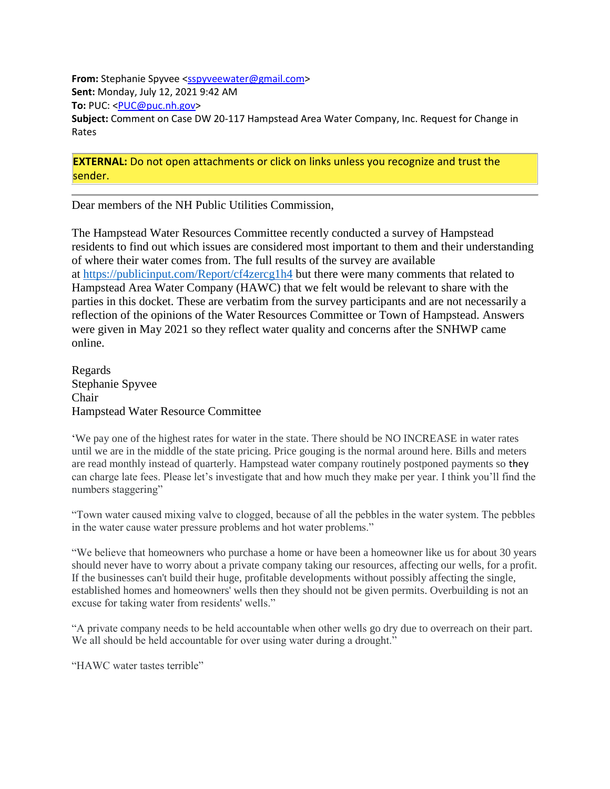**From:** Stephanie Spyvee [<sspyveewater@gmail.com>](mailto:sspyveewater@gmail.com) **Sent:** Monday, July 12, 2021 9:42 AM **To:** PUC: [<PUC@puc.nh.gov>](mailto:PUC@puc.nh.gov) **Subject:** Comment on Case DW 20-117 Hampstead Area Water Company, Inc. Request for Change in Rates

**EXTERNAL:** Do not open attachments or click on links unless you recognize and trust the sender.

Dear members of the NH Public Utilities Commission,

The Hampstead Water Resources Committee recently conducted a survey of Hampstead residents to find out which issues are considered most important to them and their understanding of where their water comes from. The full results of the survey are available at [https://publicinput.com/Report/cf4zercg1h4](https://urldefense.com/v3/__https:/publicinput.com/Report/cf4zercg1h4__;!!Oai6dtTQULp8Sw!ErwBNOVyPlwU34i6iJIMBQao4Om3Myip3LR_RJ5zERRGlZUpO_aAA7zSsmL2lRU$) but there were many comments that related to Hampstead Area Water Company (HAWC) that we felt would be relevant to share with the parties in this docket. These are verbatim from the survey participants and are not necessarily a reflection of the opinions of the Water Resources Committee or Town of Hampstead. Answers were given in May 2021 so they reflect water quality and concerns after the SNHWP came online.

Regards Stephanie Spyvee Chair Hampstead Water Resource Committee

'We pay one of the highest rates for water in the state. There should be NO INCREASE in water rates until we are in the middle of the state pricing. Price gouging is the normal around here. Bills and meters are read monthly instead of quarterly. Hampstead water company routinely postponed payments so they can charge late fees. Please let's investigate that and how much they make per year. I think you'll find the numbers staggering"

"Town water caused mixing valve to clogged, because of all the pebbles in the water system. The pebbles in the water cause water pressure problems and hot water problems."

"We believe that homeowners who purchase a home or have been a homeowner like us for about 30 years should never have to worry about a private company taking our resources, affecting our wells, for a profit. If the businesses can't build their huge, profitable developments without possibly affecting the single, established homes and homeowners' wells then they should not be given permits. Overbuilding is not an excuse for taking water from residents' wells."

"A private company needs to be held accountable when other wells go dry due to overreach on their part. We all should be held accountable for over using water during a drought."

"HAWC water tastes terrible"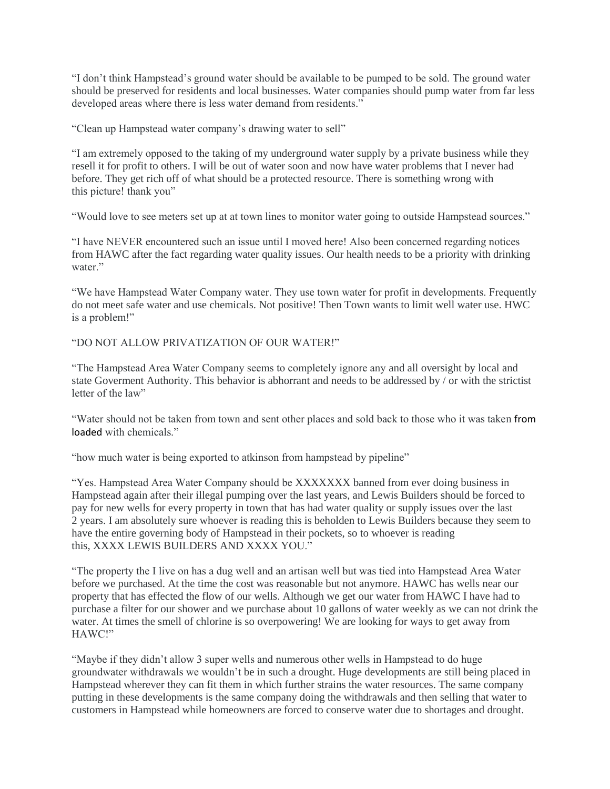"I don't think Hampstead's ground water should be available to be pumped to be sold. The ground water should be preserved for residents and local businesses. Water companies should pump water from far less developed areas where there is less water demand from residents."

"Clean up Hampstead water company's drawing water to sell"

"I am extremely opposed to the taking of my underground water supply by a private business while they resell it for profit to others. I will be out of water soon and now have water problems that I never had before. They get rich off of what should be a protected resource. There is something wrong with this picture! thank you"

"Would love to see meters set up at at town lines to monitor water going to outside Hampstead sources."

"I have NEVER encountered such an issue until I moved here! Also been concerned regarding notices from HAWC after the fact regarding water quality issues. Our health needs to be a priority with drinking water."

"We have Hampstead Water Company water. They use town water for profit in developments. Frequently do not meet safe water and use chemicals. Not positive! Then Town wants to limit well water use. HWC is a problem!"

"DO NOT ALLOW PRIVATIZATION OF OUR WATER!"

"The Hampstead Area Water Company seems to completely ignore any and all oversight by local and state Goverment Authority. This behavior is abhorrant and needs to be addressed by / or with the strictist letter of the law"

"Water should not be taken from town and sent other places and sold back to those who it was taken from loaded with chemicals."

"how much water is being exported to atkinson from hampstead by pipeline"

"Yes. Hampstead Area Water Company should be XXXXXXX banned from ever doing business in Hampstead again after their illegal pumping over the last years, and Lewis Builders should be forced to pay for new wells for every property in town that has had water quality or supply issues over the last 2 years. I am absolutely sure whoever is reading this is beholden to Lewis Builders because they seem to have the entire governing body of Hampstead in their pockets, so to whoever is reading this, XXXX LEWIS BUILDERS AND XXXX YOU."

"The property the I live on has a dug well and an artisan well but was tied into Hampstead Area Water before we purchased. At the time the cost was reasonable but not anymore. HAWC has wells near our property that has effected the flow of our wells. Although we get our water from HAWC I have had to purchase a filter for our shower and we purchase about 10 gallons of water weekly as we can not drink the water. At times the smell of chlorine is so overpowering! We are looking for ways to get away from HAWC!"

"Maybe if they didn't allow 3 super wells and numerous other wells in Hampstead to do huge groundwater withdrawals we wouldn't be in such a drought. Huge developments are still being placed in Hampstead wherever they can fit them in which further strains the water resources. The same company putting in these developments is the same company doing the withdrawals and then selling that water to customers in Hampstead while homeowners are forced to conserve water due to shortages and drought.